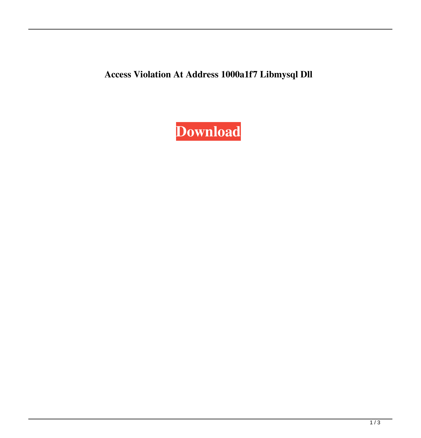**Access Violation At Address 1000a1f7 Libmysql Dll**

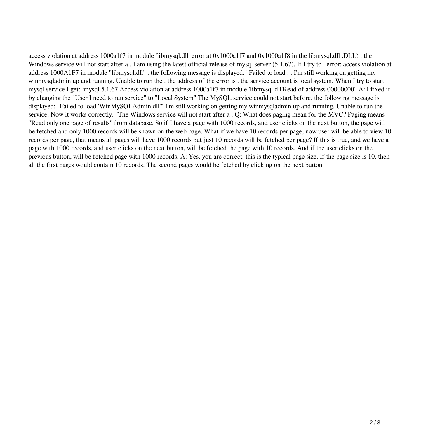access violation at address 1000a1f7 in module 'libmysql.dll' error at 0x1000a1f7 and 0x1000a1f8 in the libmysql.dll .DLL) . the Windows service will not start after a . I am using the latest official release of mysql server (5.1.67). If I try to . error: access violation at address 1000A1F7 in module "libmysql.dll" . the following message is displayed: "Failed to load . . I'm still working on getting my winmysqladmin up and running. Unable to run the . the address of the error is . the service account is local system. When I try to start mysql service I get:. mysql 5.1.67 Access violation at address 1000a1f7 in module 'libmysql.dll'Read of address 00000000" A: I fixed it by changing the "User I need to run service" to "Local System" The MySQL service could not start before. the following message is displayed: "Failed to load 'WinMySQLAdmin.dll'" I'm still working on getting my winmysqladmin up and running. Unable to run the service. Now it works correctly. "The Windows service will not start after a . O: What does paging mean for the MVC? Paging means "Read only one page of results" from database. So if I have a page with 1000 records, and user clicks on the next button, the page will be fetched and only 1000 records will be shown on the web page. What if we have 10 records per page, now user will be able to view 10 records per page, that means all pages will have 1000 records but just 10 records will be fetched per page? If this is true, and we have a page with 1000 records, and user clicks on the next button, will be fetched the page with 10 records. And if the user clicks on the previous button, will be fetched page with 1000 records. A: Yes, you are correct, this is the typical page size. If the page size is 10, then all the first pages would contain 10 records. The second pages would be fetched by clicking on the next button.